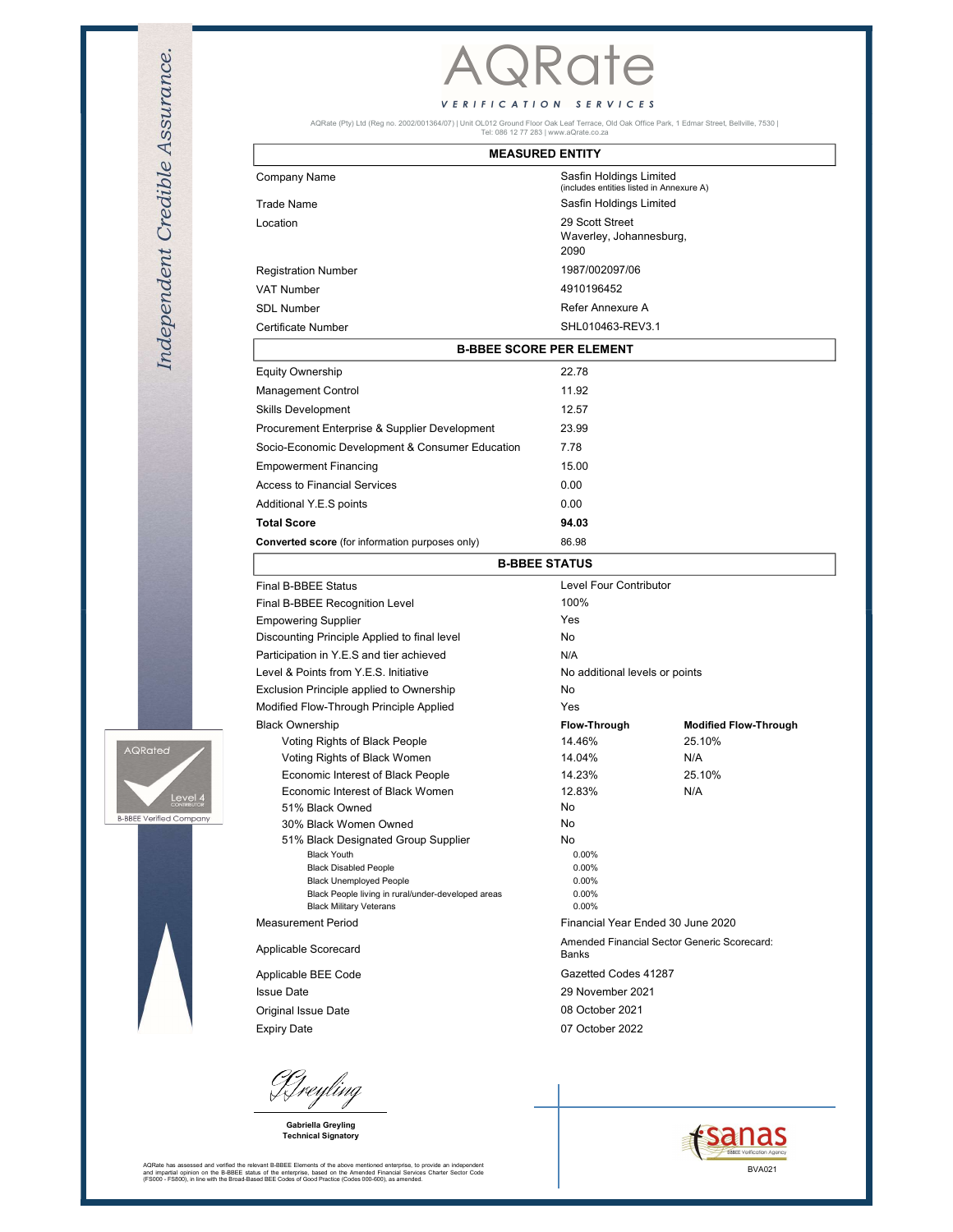





| Sasfin Holdings Limited<br>(includes entities listed in Annexure A)<br>Sasfin Holdings Limited<br>29 Scott Street<br>Waverley, Johannesburg,<br>2090<br>1987/002097/06<br>4910196452<br>Refer Annexure A<br>SHL010463-REV3.1<br><b>B-BBEE SCORE PER ELEMENT</b><br>22.78<br>11.92<br>12.57<br>23.99<br>Procurement Enterprise & Supplier Development<br>Socio-Economic Development & Consumer Education<br>7.78<br>15.00<br><b>Empowerment Financing</b><br>Access to Financial Services<br>0.00<br>0.00<br>Additional Y.E.S points<br>94.03<br>86.98<br>Converted score (for information purposes only)<br><b>B-BBEE STATUS</b><br>Final B-BBEE Status<br>Level Four Contributor<br>100%<br>Final B-BBEE Recognition Level<br>Yes<br>Discounting Principle Applied to final level<br>No<br>Participation in Y.E.S and tier achieved<br>N/A<br>Level & Points from Y.E.S. Initiative<br>No additional levels or points<br>Exclusion Principle applied to Ownership<br>No<br>Modified Flow-Through Principle Applied<br>Yes<br>Flow-Through<br><b>Modified Flow-Through</b><br>14.46%<br>25.10%<br>14.04%<br>N/A<br>Voting Rights of Black Women<br>14.23%<br>25.10%<br>Economic Interest of Black People<br>Economic Interest of Black Women<br>12.83%<br>N/A<br>No<br>30% Black Women Owned<br>No<br>51% Black Designated Group Supplier<br>No<br><b>Black Youth</b><br>0.00%<br><b>Black Disabled People</b><br>0.00%<br><b>Black Unemployed People</b><br>0.00%<br>Black People living in rural/under-developed areas<br>0.00%<br><b>Black Military Veterans</b><br>0.00%<br>Financial Year Ended 30 June 2020 |                               | <b>MEASURED ENTITY</b> |                      |                                             |  |
|-------------------------------------------------------------------------------------------------------------------------------------------------------------------------------------------------------------------------------------------------------------------------------------------------------------------------------------------------------------------------------------------------------------------------------------------------------------------------------------------------------------------------------------------------------------------------------------------------------------------------------------------------------------------------------------------------------------------------------------------------------------------------------------------------------------------------------------------------------------------------------------------------------------------------------------------------------------------------------------------------------------------------------------------------------------------------------------------------------------------------------------------------------------------------------------------------------------------------------------------------------------------------------------------------------------------------------------------------------------------------------------------------------------------------------------------------------------------------------------------------------------------------------------------------------------------------------------------------------------------|-------------------------------|------------------------|----------------------|---------------------------------------------|--|
|                                                                                                                                                                                                                                                                                                                                                                                                                                                                                                                                                                                                                                                                                                                                                                                                                                                                                                                                                                                                                                                                                                                                                                                                                                                                                                                                                                                                                                                                                                                                                                                                                   | Company Name                  |                        |                      |                                             |  |
|                                                                                                                                                                                                                                                                                                                                                                                                                                                                                                                                                                                                                                                                                                                                                                                                                                                                                                                                                                                                                                                                                                                                                                                                                                                                                                                                                                                                                                                                                                                                                                                                                   | <b>Trade Name</b>             |                        |                      |                                             |  |
|                                                                                                                                                                                                                                                                                                                                                                                                                                                                                                                                                                                                                                                                                                                                                                                                                                                                                                                                                                                                                                                                                                                                                                                                                                                                                                                                                                                                                                                                                                                                                                                                                   | Location                      |                        |                      |                                             |  |
|                                                                                                                                                                                                                                                                                                                                                                                                                                                                                                                                                                                                                                                                                                                                                                                                                                                                                                                                                                                                                                                                                                                                                                                                                                                                                                                                                                                                                                                                                                                                                                                                                   | <b>Registration Number</b>    |                        |                      |                                             |  |
|                                                                                                                                                                                                                                                                                                                                                                                                                                                                                                                                                                                                                                                                                                                                                                                                                                                                                                                                                                                                                                                                                                                                                                                                                                                                                                                                                                                                                                                                                                                                                                                                                   | VAT Number                    |                        |                      |                                             |  |
|                                                                                                                                                                                                                                                                                                                                                                                                                                                                                                                                                                                                                                                                                                                                                                                                                                                                                                                                                                                                                                                                                                                                                                                                                                                                                                                                                                                                                                                                                                                                                                                                                   | <b>SDL Number</b>             |                        |                      |                                             |  |
|                                                                                                                                                                                                                                                                                                                                                                                                                                                                                                                                                                                                                                                                                                                                                                                                                                                                                                                                                                                                                                                                                                                                                                                                                                                                                                                                                                                                                                                                                                                                                                                                                   | <b>Certificate Number</b>     |                        |                      |                                             |  |
|                                                                                                                                                                                                                                                                                                                                                                                                                                                                                                                                                                                                                                                                                                                                                                                                                                                                                                                                                                                                                                                                                                                                                                                                                                                                                                                                                                                                                                                                                                                                                                                                                   |                               |                        |                      |                                             |  |
|                                                                                                                                                                                                                                                                                                                                                                                                                                                                                                                                                                                                                                                                                                                                                                                                                                                                                                                                                                                                                                                                                                                                                                                                                                                                                                                                                                                                                                                                                                                                                                                                                   | <b>Equity Ownership</b>       |                        |                      |                                             |  |
|                                                                                                                                                                                                                                                                                                                                                                                                                                                                                                                                                                                                                                                                                                                                                                                                                                                                                                                                                                                                                                                                                                                                                                                                                                                                                                                                                                                                                                                                                                                                                                                                                   | Management Control            |                        |                      |                                             |  |
|                                                                                                                                                                                                                                                                                                                                                                                                                                                                                                                                                                                                                                                                                                                                                                                                                                                                                                                                                                                                                                                                                                                                                                                                                                                                                                                                                                                                                                                                                                                                                                                                                   | Skills Development            |                        |                      |                                             |  |
|                                                                                                                                                                                                                                                                                                                                                                                                                                                                                                                                                                                                                                                                                                                                                                                                                                                                                                                                                                                                                                                                                                                                                                                                                                                                                                                                                                                                                                                                                                                                                                                                                   |                               |                        |                      |                                             |  |
|                                                                                                                                                                                                                                                                                                                                                                                                                                                                                                                                                                                                                                                                                                                                                                                                                                                                                                                                                                                                                                                                                                                                                                                                                                                                                                                                                                                                                                                                                                                                                                                                                   |                               |                        |                      |                                             |  |
|                                                                                                                                                                                                                                                                                                                                                                                                                                                                                                                                                                                                                                                                                                                                                                                                                                                                                                                                                                                                                                                                                                                                                                                                                                                                                                                                                                                                                                                                                                                                                                                                                   |                               |                        |                      |                                             |  |
|                                                                                                                                                                                                                                                                                                                                                                                                                                                                                                                                                                                                                                                                                                                                                                                                                                                                                                                                                                                                                                                                                                                                                                                                                                                                                                                                                                                                                                                                                                                                                                                                                   |                               |                        |                      |                                             |  |
|                                                                                                                                                                                                                                                                                                                                                                                                                                                                                                                                                                                                                                                                                                                                                                                                                                                                                                                                                                                                                                                                                                                                                                                                                                                                                                                                                                                                                                                                                                                                                                                                                   |                               |                        |                      |                                             |  |
|                                                                                                                                                                                                                                                                                                                                                                                                                                                                                                                                                                                                                                                                                                                                                                                                                                                                                                                                                                                                                                                                                                                                                                                                                                                                                                                                                                                                                                                                                                                                                                                                                   | <b>Total Score</b>            |                        |                      |                                             |  |
|                                                                                                                                                                                                                                                                                                                                                                                                                                                                                                                                                                                                                                                                                                                                                                                                                                                                                                                                                                                                                                                                                                                                                                                                                                                                                                                                                                                                                                                                                                                                                                                                                   |                               |                        |                      |                                             |  |
|                                                                                                                                                                                                                                                                                                                                                                                                                                                                                                                                                                                                                                                                                                                                                                                                                                                                                                                                                                                                                                                                                                                                                                                                                                                                                                                                                                                                                                                                                                                                                                                                                   |                               |                        |                      |                                             |  |
|                                                                                                                                                                                                                                                                                                                                                                                                                                                                                                                                                                                                                                                                                                                                                                                                                                                                                                                                                                                                                                                                                                                                                                                                                                                                                                                                                                                                                                                                                                                                                                                                                   |                               |                        |                      |                                             |  |
|                                                                                                                                                                                                                                                                                                                                                                                                                                                                                                                                                                                                                                                                                                                                                                                                                                                                                                                                                                                                                                                                                                                                                                                                                                                                                                                                                                                                                                                                                                                                                                                                                   |                               |                        |                      |                                             |  |
|                                                                                                                                                                                                                                                                                                                                                                                                                                                                                                                                                                                                                                                                                                                                                                                                                                                                                                                                                                                                                                                                                                                                                                                                                                                                                                                                                                                                                                                                                                                                                                                                                   |                               |                        |                      |                                             |  |
|                                                                                                                                                                                                                                                                                                                                                                                                                                                                                                                                                                                                                                                                                                                                                                                                                                                                                                                                                                                                                                                                                                                                                                                                                                                                                                                                                                                                                                                                                                                                                                                                                   | <b>Empowering Supplier</b>    |                        |                      |                                             |  |
|                                                                                                                                                                                                                                                                                                                                                                                                                                                                                                                                                                                                                                                                                                                                                                                                                                                                                                                                                                                                                                                                                                                                                                                                                                                                                                                                                                                                                                                                                                                                                                                                                   |                               |                        |                      |                                             |  |
|                                                                                                                                                                                                                                                                                                                                                                                                                                                                                                                                                                                                                                                                                                                                                                                                                                                                                                                                                                                                                                                                                                                                                                                                                                                                                                                                                                                                                                                                                                                                                                                                                   |                               |                        |                      |                                             |  |
|                                                                                                                                                                                                                                                                                                                                                                                                                                                                                                                                                                                                                                                                                                                                                                                                                                                                                                                                                                                                                                                                                                                                                                                                                                                                                                                                                                                                                                                                                                                                                                                                                   |                               |                        |                      |                                             |  |
|                                                                                                                                                                                                                                                                                                                                                                                                                                                                                                                                                                                                                                                                                                                                                                                                                                                                                                                                                                                                                                                                                                                                                                                                                                                                                                                                                                                                                                                                                                                                                                                                                   |                               |                        |                      |                                             |  |
|                                                                                                                                                                                                                                                                                                                                                                                                                                                                                                                                                                                                                                                                                                                                                                                                                                                                                                                                                                                                                                                                                                                                                                                                                                                                                                                                                                                                                                                                                                                                                                                                                   | <b>Black Ownership</b>        |                        |                      |                                             |  |
|                                                                                                                                                                                                                                                                                                                                                                                                                                                                                                                                                                                                                                                                                                                                                                                                                                                                                                                                                                                                                                                                                                                                                                                                                                                                                                                                                                                                                                                                                                                                                                                                                   | Voting Rights of Black People |                        |                      |                                             |  |
|                                                                                                                                                                                                                                                                                                                                                                                                                                                                                                                                                                                                                                                                                                                                                                                                                                                                                                                                                                                                                                                                                                                                                                                                                                                                                                                                                                                                                                                                                                                                                                                                                   |                               |                        |                      |                                             |  |
|                                                                                                                                                                                                                                                                                                                                                                                                                                                                                                                                                                                                                                                                                                                                                                                                                                                                                                                                                                                                                                                                                                                                                                                                                                                                                                                                                                                                                                                                                                                                                                                                                   |                               |                        |                      |                                             |  |
|                                                                                                                                                                                                                                                                                                                                                                                                                                                                                                                                                                                                                                                                                                                                                                                                                                                                                                                                                                                                                                                                                                                                                                                                                                                                                                                                                                                                                                                                                                                                                                                                                   |                               |                        |                      |                                             |  |
|                                                                                                                                                                                                                                                                                                                                                                                                                                                                                                                                                                                                                                                                                                                                                                                                                                                                                                                                                                                                                                                                                                                                                                                                                                                                                                                                                                                                                                                                                                                                                                                                                   | 51% Black Owned               |                        |                      |                                             |  |
|                                                                                                                                                                                                                                                                                                                                                                                                                                                                                                                                                                                                                                                                                                                                                                                                                                                                                                                                                                                                                                                                                                                                                                                                                                                                                                                                                                                                                                                                                                                                                                                                                   |                               |                        |                      |                                             |  |
|                                                                                                                                                                                                                                                                                                                                                                                                                                                                                                                                                                                                                                                                                                                                                                                                                                                                                                                                                                                                                                                                                                                                                                                                                                                                                                                                                                                                                                                                                                                                                                                                                   |                               |                        |                      |                                             |  |
|                                                                                                                                                                                                                                                                                                                                                                                                                                                                                                                                                                                                                                                                                                                                                                                                                                                                                                                                                                                                                                                                                                                                                                                                                                                                                                                                                                                                                                                                                                                                                                                                                   |                               |                        |                      |                                             |  |
|                                                                                                                                                                                                                                                                                                                                                                                                                                                                                                                                                                                                                                                                                                                                                                                                                                                                                                                                                                                                                                                                                                                                                                                                                                                                                                                                                                                                                                                                                                                                                                                                                   |                               |                        |                      |                                             |  |
|                                                                                                                                                                                                                                                                                                                                                                                                                                                                                                                                                                                                                                                                                                                                                                                                                                                                                                                                                                                                                                                                                                                                                                                                                                                                                                                                                                                                                                                                                                                                                                                                                   |                               |                        |                      |                                             |  |
|                                                                                                                                                                                                                                                                                                                                                                                                                                                                                                                                                                                                                                                                                                                                                                                                                                                                                                                                                                                                                                                                                                                                                                                                                                                                                                                                                                                                                                                                                                                                                                                                                   | <b>Measurement Period</b>     |                        |                      |                                             |  |
| Banks                                                                                                                                                                                                                                                                                                                                                                                                                                                                                                                                                                                                                                                                                                                                                                                                                                                                                                                                                                                                                                                                                                                                                                                                                                                                                                                                                                                                                                                                                                                                                                                                             | Applicable Scorecard          |                        |                      | Amended Financial Sector Generic Scorecard: |  |
|                                                                                                                                                                                                                                                                                                                                                                                                                                                                                                                                                                                                                                                                                                                                                                                                                                                                                                                                                                                                                                                                                                                                                                                                                                                                                                                                                                                                                                                                                                                                                                                                                   | Applicable BEE Code           |                        | Gazetted Codes 41287 |                                             |  |
|                                                                                                                                                                                                                                                                                                                                                                                                                                                                                                                                                                                                                                                                                                                                                                                                                                                                                                                                                                                                                                                                                                                                                                                                                                                                                                                                                                                                                                                                                                                                                                                                                   | <b>Issue Date</b>             |                        | 29 November 2021     |                                             |  |
|                                                                                                                                                                                                                                                                                                                                                                                                                                                                                                                                                                                                                                                                                                                                                                                                                                                                                                                                                                                                                                                                                                                                                                                                                                                                                                                                                                                                                                                                                                                                                                                                                   | Original Issue Date           |                        | 08 October 2021      |                                             |  |
|                                                                                                                                                                                                                                                                                                                                                                                                                                                                                                                                                                                                                                                                                                                                                                                                                                                                                                                                                                                                                                                                                                                                                                                                                                                                                                                                                                                                                                                                                                                                                                                                                   | <b>Expiry Date</b>            |                        | 07 October 2022      |                                             |  |
|                                                                                                                                                                                                                                                                                                                                                                                                                                                                                                                                                                                                                                                                                                                                                                                                                                                                                                                                                                                                                                                                                                                                                                                                                                                                                                                                                                                                                                                                                                                                                                                                                   |                               |                        |                      |                                             |  |
|                                                                                                                                                                                                                                                                                                                                                                                                                                                                                                                                                                                                                                                                                                                                                                                                                                                                                                                                                                                                                                                                                                                                                                                                                                                                                                                                                                                                                                                                                                                                                                                                                   |                               |                        |                      |                                             |  |
|                                                                                                                                                                                                                                                                                                                                                                                                                                                                                                                                                                                                                                                                                                                                                                                                                                                                                                                                                                                                                                                                                                                                                                                                                                                                                                                                                                                                                                                                                                                                                                                                                   |                               |                        |                      |                                             |  |
|                                                                                                                                                                                                                                                                                                                                                                                                                                                                                                                                                                                                                                                                                                                                                                                                                                                                                                                                                                                                                                                                                                                                                                                                                                                                                                                                                                                                                                                                                                                                                                                                                   |                               |                        |                      |                                             |  |